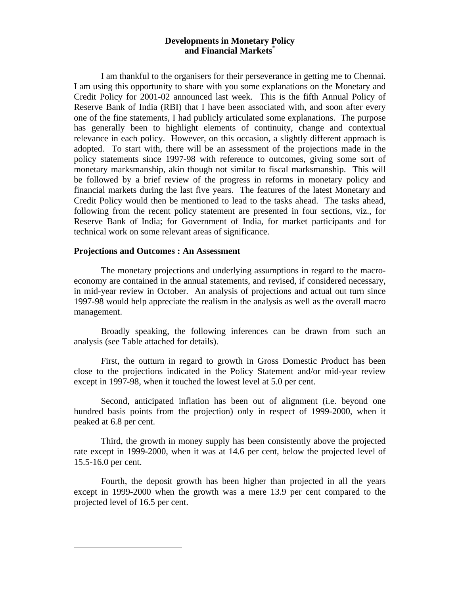# **Developments in Monetary Policy and Financial Markets**\*

I am thankful to the organisers for their perseverance in getting me to Chennai. I am using this opportunity to share with you some explanations on the Monetary and Credit Policy for 2001-02 announced last week. This is the fifth Annual Policy of Reserve Bank of India (RBI) that I have been associated with, and soon after every one of the fine statements, I had publicly articulated some explanations. The purpose has generally been to highlight elements of continuity, change and contextual relevance in each policy. However, on this occasion, a slightly different approach is adopted. To start with, there will be an assessment of the projections made in the policy statements since 1997-98 with reference to outcomes, giving some sort of monetary marksmanship, akin though not similar to fiscal marksmanship. This will be followed by a brief review of the progress in reforms in monetary policy and financial markets during the last five years. The features of the latest Monetary and Credit Policy would then be mentioned to lead to the tasks ahead. The tasks ahead, following from the recent policy statement are presented in four sections, viz., for Reserve Bank of India; for Government of India, for market participants and for technical work on some relevant areas of significance.

# **Projections and Outcomes : An Assessment**

-

The monetary projections and underlying assumptions in regard to the macroeconomy are contained in the annual statements, and revised, if considered necessary, in mid-year review in October. An analysis of projections and actual out turn since 1997-98 would help appreciate the realism in the analysis as well as the overall macro management.

Broadly speaking, the following inferences can be drawn from such an analysis (see Table attached for details).

First, the outturn in regard to growth in Gross Domestic Product has been close to the projections indicated in the Policy Statement and/or mid-year review except in 1997-98, when it touched the lowest level at 5.0 per cent.

Second, anticipated inflation has been out of alignment (i.e. beyond one hundred basis points from the projection) only in respect of 1999-2000, when it peaked at 6.8 per cent.

Third, the growth in money supply has been consistently above the projected rate except in 1999-2000, when it was at 14.6 per cent, below the projected level of 15.5-16.0 per cent.

Fourth, the deposit growth has been higher than projected in all the years except in 1999-2000 when the growth was a mere 13.9 per cent compared to the projected level of 16.5 per cent.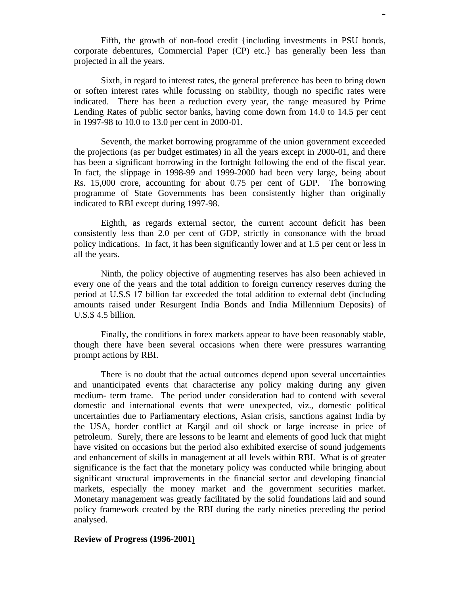Fifth, the growth of non-food credit {including investments in PSU bonds, corporate debentures, Commercial Paper (CP) etc.} has generally been less than projected in all the years.

Sixth, in regard to interest rates, the general preference has been to bring down or soften interest rates while focussing on stability, though no specific rates were indicated. There has been a reduction every year, the range measured by Prime Lending Rates of public sector banks, having come down from 14.0 to 14.5 per cent in 1997-98 to 10.0 to 13.0 per cent in 2000-01.

Seventh, the market borrowing programme of the union government exceeded the projections (as per budget estimates) in all the years except in 2000-01, and there has been a significant borrowing in the fortnight following the end of the fiscal year. In fact, the slippage in 1998-99 and 1999-2000 had been very large, being about Rs. 15,000 crore, accounting for about 0.75 per cent of GDP. The borrowing programme of State Governments has been consistently higher than originally indicated to RBI except during 1997-98.

Eighth, as regards external sector, the current account deficit has been consistently less than 2.0 per cent of GDP, strictly in consonance with the broad policy indications. In fact, it has been significantly lower and at 1.5 per cent or less in all the years.

Ninth, the policy objective of augmenting reserves has also been achieved in every one of the years and the total addition to foreign currency reserves during the period at U.S.\$ 17 billion far exceeded the total addition to external debt (including amounts raised under Resurgent India Bonds and India Millennium Deposits) of U.S.\$ 4.5 billion.

Finally, the conditions in forex markets appear to have been reasonably stable, though there have been several occasions when there were pressures warranting prompt actions by RBI.

There is no doubt that the actual outcomes depend upon several uncertainties and unanticipated events that characterise any policy making during any given medium- term frame. The period under consideration had to contend with several domestic and international events that were unexpected, viz., domestic political uncertainties due to Parliamentary elections, Asian crisis, sanctions against India by the USA, border conflict at Kargil and oil shock or large increase in price of petroleum. Surely, there are lessons to be learnt and elements of good luck that might have visited on occasions but the period also exhibited exercise of sound judgements and enhancement of skills in management at all levels within RBI. What is of greater significance is the fact that the monetary policy was conducted while bringing about significant structural improvements in the financial sector and developing financial markets, especially the money market and the government securities market. Monetary management was greatly facilitated by the solid foundations laid and sound policy framework created by the RBI during the early nineties preceding the period analysed.

# **Review of Progress (1996-2001)**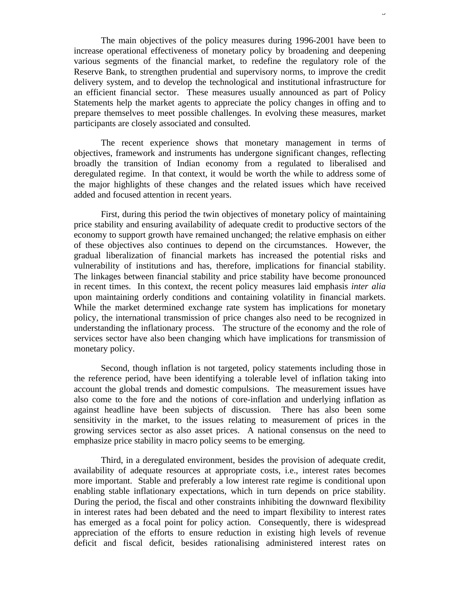The main objectives of the policy measures during 1996-2001 have been to increase operational effectiveness of monetary policy by broadening and deepening various segments of the financial market, to redefine the regulatory role of the Reserve Bank, to strengthen prudential and supervisory norms, to improve the credit delivery system, and to develop the technological and institutional infrastructure for an efficient financial sector. These measures usually announced as part of Policy Statements help the market agents to appreciate the policy changes in offing and to prepare themselves to meet possible challenges. In evolving these measures, market participants are closely associated and consulted.

The recent experience shows that monetary management in terms of objectives, framework and instruments has undergone significant changes, reflecting broadly the transition of Indian economy from a regulated to liberalised and deregulated regime. In that context, it would be worth the while to address some of the major highlights of these changes and the related issues which have received added and focused attention in recent years.

First, during this period the twin objectives of monetary policy of maintaining price stability and ensuring availability of adequate credit to productive sectors of the economy to support growth have remained unchanged; the relative emphasis on either of these objectives also continues to depend on the circumstances. However, the gradual liberalization of financial markets has increased the potential risks and vulnerability of institutions and has, therefore, implications for financial stability. The linkages between financial stability and price stability have become pronounced in recent times. In this context, the recent policy measures laid emphasis *inter alia* upon maintaining orderly conditions and containing volatility in financial markets. While the market determined exchange rate system has implications for monetary policy, the international transmission of price changes also need to be recognized in understanding the inflationary process. The structure of the economy and the role of services sector have also been changing which have implications for transmission of monetary policy.

Second, though inflation is not targeted, policy statements including those in the reference period, have been identifying a tolerable level of inflation taking into account the global trends and domestic compulsions. The measurement issues have also come to the fore and the notions of core-inflation and underlying inflation as against headline have been subjects of discussion. There has also been some sensitivity in the market, to the issues relating to measurement of prices in the growing services sector as also asset prices. A national consensus on the need to emphasize price stability in macro policy seems to be emerging.

Third, in a deregulated environment, besides the provision of adequate credit, availability of adequate resources at appropriate costs, i.e., interest rates becomes more important. Stable and preferably a low interest rate regime is conditional upon enabling stable inflationary expectations, which in turn depends on price stability. During the period, the fiscal and other constraints inhibiting the downward flexibility in interest rates had been debated and the need to impart flexibility to interest rates has emerged as a focal point for policy action. Consequently, there is widespread appreciation of the efforts to ensure reduction in existing high levels of revenue deficit and fiscal deficit, besides rationalising administered interest rates on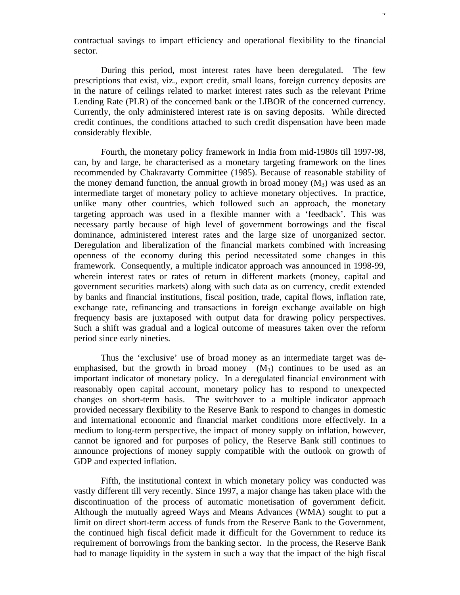contractual savings to impart efficiency and operational flexibility to the financial sector.

During this period, most interest rates have been deregulated. The few prescriptions that exist, viz., export credit, small loans, foreign currency deposits are in the nature of ceilings related to market interest rates such as the relevant Prime Lending Rate (PLR) of the concerned bank or the LIBOR of the concerned currency. Currently, the only administered interest rate is on saving deposits. While directed credit continues, the conditions attached to such credit dispensation have been made considerably flexible.

Fourth, the monetary policy framework in India from mid-1980s till 1997-98, can, by and large, be characterised as a monetary targeting framework on the lines recommended by Chakravarty Committee (1985). Because of reasonable stability of the money demand function, the annual growth in broad money  $(M_3)$  was used as an intermediate target of monetary policy to achieve monetary objectives. In practice, unlike many other countries, which followed such an approach, the monetary targeting approach was used in a flexible manner with a 'feedback'. This was necessary partly because of high level of government borrowings and the fiscal dominance, administered interest rates and the large size of unorganized sector. Deregulation and liberalization of the financial markets combined with increasing openness of the economy during this period necessitated some changes in this framework. Consequently, a multiple indicator approach was announced in 1998-99, wherein interest rates or rates of return in different markets (money, capital and government securities markets) along with such data as on currency, credit extended by banks and financial institutions, fiscal position, trade, capital flows, inflation rate, exchange rate, refinancing and transactions in foreign exchange available on high frequency basis are juxtaposed with output data for drawing policy perspectives. Such a shift was gradual and a logical outcome of measures taken over the reform period since early nineties.

Thus the 'exclusive' use of broad money as an intermediate target was deemphasised, but the growth in broad money  $(M_3)$  continues to be used as an important indicator of monetary policy. In a deregulated financial environment with reasonably open capital account, monetary policy has to respond to unexpected changes on short-term basis. The switchover to a multiple indicator approach provided necessary flexibility to the Reserve Bank to respond to changes in domestic and international economic and financial market conditions more effectively. In a medium to long-term perspective, the impact of money supply on inflation, however, cannot be ignored and for purposes of policy, the Reserve Bank still continues to announce projections of money supply compatible with the outlook on growth of GDP and expected inflation.

Fifth, the institutional context in which monetary policy was conducted was vastly different till very recently. Since 1997, a major change has taken place with the discontinuation of the process of automatic monetisation of government deficit. Although the mutually agreed Ways and Means Advances (WMA) sought to put a limit on direct short-term access of funds from the Reserve Bank to the Government, the continued high fiscal deficit made it difficult for the Government to reduce its requirement of borrowings from the banking sector. In the process, the Reserve Bank had to manage liquidity in the system in such a way that the impact of the high fiscal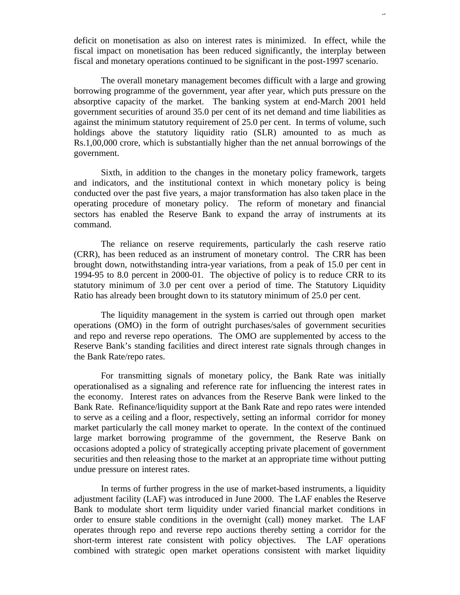deficit on monetisation as also on interest rates is minimized. In effect, while the fiscal impact on monetisation has been reduced significantly, the interplay between fiscal and monetary operations continued to be significant in the post-1997 scenario.

The overall monetary management becomes difficult with a large and growing borrowing programme of the government, year after year, which puts pressure on the absorptive capacity of the market. The banking system at end-March 2001 held government securities of around 35.0 per cent of its net demand and time liabilities as against the minimum statutory requirement of 25.0 per cent. In terms of volume, such holdings above the statutory liquidity ratio (SLR) amounted to as much as Rs.1,00,000 crore, which is substantially higher than the net annual borrowings of the government.

Sixth, in addition to the changes in the monetary policy framework, targets and indicators, and the institutional context in which monetary policy is being conducted over the past five years, a major transformation has also taken place in the operating procedure of monetary policy. The reform of monetary and financial sectors has enabled the Reserve Bank to expand the array of instruments at its command.

The reliance on reserve requirements, particularly the cash reserve ratio (CRR), has been reduced as an instrument of monetary control. The CRR has been brought down, notwithstanding intra-year variations, from a peak of 15.0 per cent in 1994-95 to 8.0 percent in 2000-01. The objective of policy is to reduce CRR to its statutory minimum of 3.0 per cent over a period of time. The Statutory Liquidity Ratio has already been brought down to its statutory minimum of 25.0 per cent.

The liquidity management in the system is carried out through open market operations (OMO) in the form of outright purchases/sales of government securities and repo and reverse repo operations. The OMO are supplemented by access to the Reserve Bank's standing facilities and direct interest rate signals through changes in the Bank Rate/repo rates.

For transmitting signals of monetary policy, the Bank Rate was initially operationalised as a signaling and reference rate for influencing the interest rates in the economy. Interest rates on advances from the Reserve Bank were linked to the Bank Rate. Refinance/liquidity support at the Bank Rate and repo rates were intended to serve as a ceiling and a floor, respectively, setting an informal corridor for money market particularly the call money market to operate. In the context of the continued large market borrowing programme of the government, the Reserve Bank on occasions adopted a policy of strategically accepting private placement of government securities and then releasing those to the market at an appropriate time without putting undue pressure on interest rates.

In terms of further progress in the use of market-based instruments, a liquidity adjustment facility (LAF) was introduced in June 2000. The LAF enables the Reserve Bank to modulate short term liquidity under varied financial market conditions in order to ensure stable conditions in the overnight (call) money market. The LAF operates through repo and reverse repo auctions thereby setting a corridor for the short-term interest rate consistent with policy objectives. The LAF operations combined with strategic open market operations consistent with market liquidity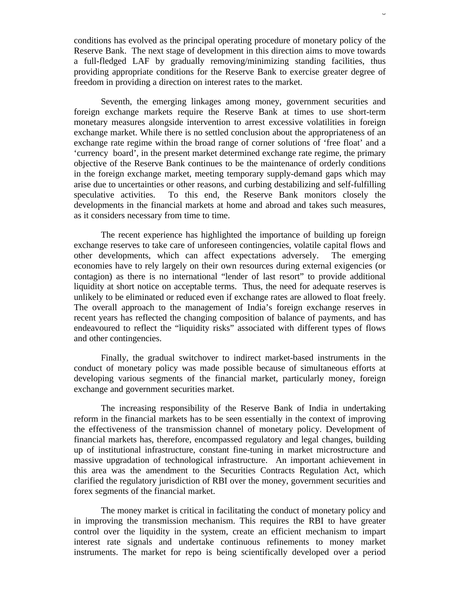conditions has evolved as the principal operating procedure of monetary policy of the Reserve Bank. The next stage of development in this direction aims to move towards a full-fledged LAF by gradually removing/minimizing standing facilities, thus providing appropriate conditions for the Reserve Bank to exercise greater degree of freedom in providing a direction on interest rates to the market.

Seventh, the emerging linkages among money, government securities and foreign exchange markets require the Reserve Bank at times to use short-term monetary measures alongside intervention to arrest excessive volatilities in foreign exchange market. While there is no settled conclusion about the appropriateness of an exchange rate regime within the broad range of corner solutions of 'free float' and a 'currency board', in the present market determined exchange rate regime, the primary objective of the Reserve Bank continues to be the maintenance of orderly conditions in the foreign exchange market, meeting temporary supply-demand gaps which may arise due to uncertainties or other reasons, and curbing destabilizing and self-fulfilling speculative activities. To this end, the Reserve Bank monitors closely the developments in the financial markets at home and abroad and takes such measures, as it considers necessary from time to time.

The recent experience has highlighted the importance of building up foreign exchange reserves to take care of unforeseen contingencies, volatile capital flows and other developments, which can affect expectations adversely. The emerging economies have to rely largely on their own resources during external exigencies (or contagion) as there is no international "lender of last resort" to provide additional liquidity at short notice on acceptable terms. Thus, the need for adequate reserves is unlikely to be eliminated or reduced even if exchange rates are allowed to float freely. The overall approach to the management of India's foreign exchange reserves in recent years has reflected the changing composition of balance of payments, and has endeavoured to reflect the "liquidity risks" associated with different types of flows and other contingencies.

Finally, the gradual switchover to indirect market-based instruments in the conduct of monetary policy was made possible because of simultaneous efforts at developing various segments of the financial market, particularly money, foreign exchange and government securities market.

The increasing responsibility of the Reserve Bank of India in undertaking reform in the financial markets has to be seen essentially in the context of improving the effectiveness of the transmission channel of monetary policy. Development of financial markets has, therefore, encompassed regulatory and legal changes, building up of institutional infrastructure, constant fine-tuning in market microstructure and massive upgradation of technological infrastructure. An important achievement in this area was the amendment to the Securities Contracts Regulation Act, which clarified the regulatory jurisdiction of RBI over the money, government securities and forex segments of the financial market.

The money market is critical in facilitating the conduct of monetary policy and in improving the transmission mechanism. This requires the RBI to have greater control over the liquidity in the system, create an efficient mechanism to impart interest rate signals and undertake continuous refinements to money market instruments. The market for repo is being scientifically developed over a period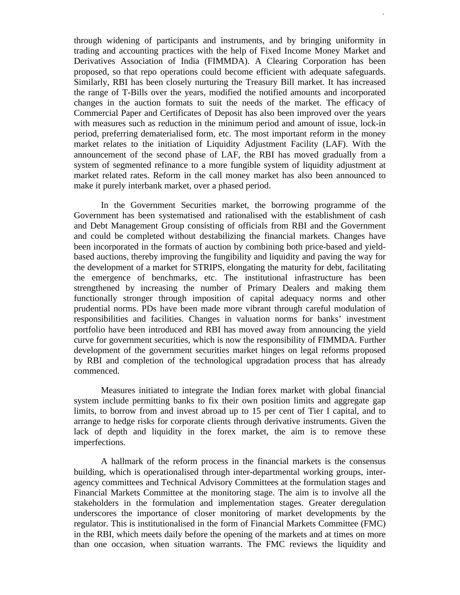through widening of participants and instruments, and by bringing uniformity in trading and accounting practices with the help of Fixed Income Money Market and Derivatives Association of India (FIMMDA). A Clearing Corporation has been proposed, so that repo operations could become efficient with adequate safeguards. Similarly, RBI has been closely nurturing the Treasury Bill market. It has increased the range of T-Bills over the years, modified the notified amounts and incorporated changes in the auction formats to suit the needs of the market. The efficacy of Commercial Paper and Certificates of Deposit has also been improved over the years with measures such as reduction in the minimum period and amount of issue, lock-in period, preferring dematerialised form, etc. The most important reform in the money market relates to the initiation of Liquidity Adjustment Facility (LAF). With the announcement of the second phase of LAF, the RBI has moved gradually from a system of segmented refinance to a more fungible system of liquidity adjustment at market related rates. Reform in the call money market has also been announced to make it purely interbank market, over a phased period.

7

In the Government Securities market, the borrowing programme of the Government has been systematised and rationalised with the establishment of cash and Debt Management Group consisting of officials from RBI and the Government and could be completed without destabilizing the financial markets. Changes have been incorporated in the formats of auction by combining both price-based and yieldbased auctions, thereby improving the fungibility and liquidity and paving the way for the development of a market for STRIPS, elongating the maturity for debt, facilitating the emergence of benchmarks, etc. The institutional infrastructure has been strengthened by increasing the number of Primary Dealers and making them functionally stronger through imposition of capital adequacy norms and other prudential norms. PDs have been made more vibrant through careful modulation of responsibilities and facilities. Changes in valuation norms for banks' investment portfolio have been introduced and RBI has moved away from announcing the yield curve for government securities, which is now the responsibility of FIMMDA. Further development of the government securities market hinges on legal reforms proposed by RBI and completion of the technological upgradation process that has already commenced.

Measures initiated to integrate the Indian forex market with global financial system include permitting banks to fix their own position limits and aggregate gap limits, to borrow from and invest abroad up to 15 per cent of Tier I capital, and to arrange to hedge risks for corporate clients through derivative instruments. Given the lack of depth and liquidity in the forex market, the aim is to remove these imperfections.

A hallmark of the reform process in the financial markets is the consensus building, which is operationalised through inter-departmental working groups, interagency committees and Technical Advisory Committees at the formulation stages and Financial Markets Committee at the monitoring stage. The aim is to involve all the stakeholders in the formulation and implementation stages. Greater deregulation underscores the importance of closer monitoring of market developments by the regulator. This is institutionalised in the form of Financial Markets Committee (FMC) in the RBI, which meets daily before the opening of the markets and at times on more than one occasion, when situation warrants. The FMC reviews the liquidity and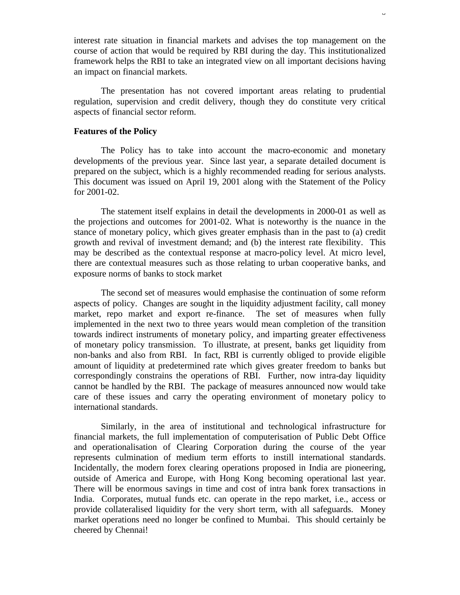interest rate situation in financial markets and advises the top management on the course of action that would be required by RBI during the day. This institutionalized framework helps the RBI to take an integrated view on all important decisions having an impact on financial markets.

The presentation has not covered important areas relating to prudential regulation, supervision and credit delivery, though they do constitute very critical aspects of financial sector reform.

#### **Features of the Policy**

The Policy has to take into account the macro-economic and monetary developments of the previous year. Since last year, a separate detailed document is prepared on the subject, which is a highly recommended reading for serious analysts. This document was issued on April 19, 2001 along with the Statement of the Policy for 2001-02.

The statement itself explains in detail the developments in 2000-01 as well as the projections and outcomes for 2001-02. What is noteworthy is the nuance in the stance of monetary policy, which gives greater emphasis than in the past to (a) credit growth and revival of investment demand; and (b) the interest rate flexibility. This may be described as the contextual response at macro-policy level. At micro level, there are contextual measures such as those relating to urban cooperative banks, and exposure norms of banks to stock market

The second set of measures would emphasise the continuation of some reform aspects of policy. Changes are sought in the liquidity adjustment facility, call money market, repo market and export re-finance. The set of measures when fully implemented in the next two to three years would mean completion of the transition towards indirect instruments of monetary policy, and imparting greater effectiveness of monetary policy transmission. To illustrate, at present, banks get liquidity from non-banks and also from RBI. In fact, RBI is currently obliged to provide eligible amount of liquidity at predetermined rate which gives greater freedom to banks but correspondingly constrains the operations of RBI. Further, now intra-day liquidity cannot be handled by the RBI. The package of measures announced now would take care of these issues and carry the operating environment of monetary policy to international standards.

Similarly, in the area of institutional and technological infrastructure for financial markets, the full implementation of computerisation of Public Debt Office and operationalisation of Clearing Corporation during the course of the year represents culmination of medium term efforts to instill international standards. Incidentally, the modern forex clearing operations proposed in India are pioneering, outside of America and Europe, with Hong Kong becoming operational last year. There will be enormous savings in time and cost of intra bank forex transactions in India. Corporates, mutual funds etc. can operate in the repo market, i.e., access or provide collateralised liquidity for the very short term, with all safeguards. Money market operations need no longer be confined to Mumbai. This should certainly be cheered by Chennai!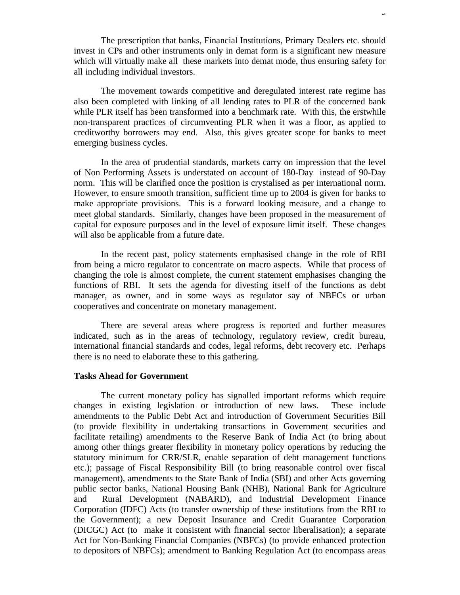The prescription that banks, Financial Institutions, Primary Dealers etc. should invest in CPs and other instruments only in demat form is a significant new measure which will virtually make all these markets into demat mode, thus ensuring safety for all including individual investors.

9

The movement towards competitive and deregulated interest rate regime has also been completed with linking of all lending rates to PLR of the concerned bank while PLR itself has been transformed into a benchmark rate. With this, the erstwhile non-transparent practices of circumventing PLR when it was a floor, as applied to creditworthy borrowers may end. Also, this gives greater scope for banks to meet emerging business cycles.

In the area of prudential standards, markets carry on impression that the level of Non Performing Assets is understated on account of 180-Day instead of 90-Day norm. This will be clarified once the position is crystalised as per international norm. However, to ensure smooth transition, sufficient time up to 2004 is given for banks to make appropriate provisions. This is a forward looking measure, and a change to meet global standards. Similarly, changes have been proposed in the measurement of capital for exposure purposes and in the level of exposure limit itself. These changes will also be applicable from a future date.

In the recent past, policy statements emphasised change in the role of RBI from being a micro regulator to concentrate on macro aspects. While that process of changing the role is almost complete, the current statement emphasises changing the functions of RBI. It sets the agenda for divesting itself of the functions as debt manager, as owner, and in some ways as regulator say of NBFCs or urban cooperatives and concentrate on monetary management.

There are several areas where progress is reported and further measures indicated, such as in the areas of technology, regulatory review, credit bureau, international financial standards and codes, legal reforms, debt recovery etc. Perhaps there is no need to elaborate these to this gathering.

# **Tasks Ahead for Government**

The current monetary policy has signalled important reforms which require changes in existing legislation or introduction of new laws. These include amendments to the Public Debt Act and introduction of Government Securities Bill (to provide flexibility in undertaking transactions in Government securities and facilitate retailing) amendments to the Reserve Bank of India Act (to bring about among other things greater flexibility in monetary policy operations by reducing the statutory minimum for CRR/SLR, enable separation of debt management functions etc.); passage of Fiscal Responsibility Bill (to bring reasonable control over fiscal management), amendments to the State Bank of India (SBI) and other Acts governing public sector banks, National Housing Bank (NHB), National Bank for Agriculture and Rural Development (NABARD), and Industrial Development Finance Corporation (IDFC) Acts (to transfer ownership of these institutions from the RBI to the Government); a new Deposit Insurance and Credit Guarantee Corporation (DICGC) Act (to make it consistent with financial sector liberalisation); a separate Act for Non-Banking Financial Companies (NBFCs) (to provide enhanced protection to depositors of NBFCs); amendment to Banking Regulation Act (to encompass areas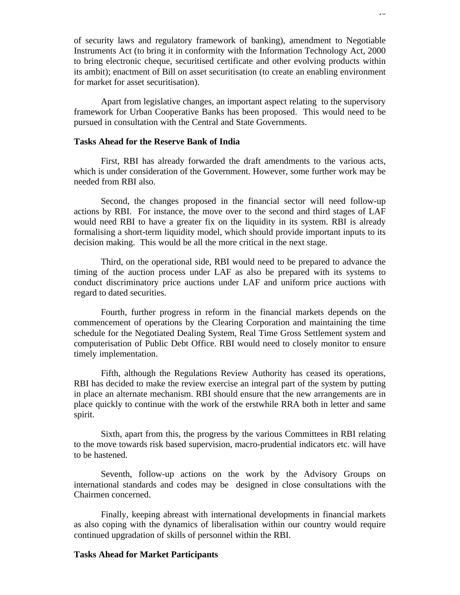of security laws and regulatory framework of banking), amendment to Negotiable Instruments Act (to bring it in conformity with the Information Technology Act, 2000 to bring electronic cheque, securitised certificate and other evolving products within its ambit); enactment of Bill on asset securitisation (to create an enabling environment for market for asset securitisation).

Apart from legislative changes, an important aspect relating to the supervisory framework for Urban Cooperative Banks has been proposed. This would need to be pursued in consultation with the Central and State Governments.

# **Tasks Ahead for the Reserve Bank of India**

First, RBI has already forwarded the draft amendments to the various acts, which is under consideration of the Government. However, some further work may be needed from RBI also.

Second, the changes proposed in the financial sector will need follow-up actions by RBI. For instance, the move over to the second and third stages of LAF would need RBI to have a greater fix on the liquidity in its system. RBI is already formalising a short-term liquidity model, which should provide important inputs to its decision making. This would be all the more critical in the next stage.

Third, on the operational side, RBI would need to be prepared to advance the timing of the auction process under LAF as also be prepared with its systems to conduct discriminatory price auctions under LAF and uniform price auctions with regard to dated securities.

Fourth, further progress in reform in the financial markets depends on the commencement of operations by the Clearing Corporation and maintaining the time schedule for the Negotiated Dealing System, Real Time Gross Settlement system and computerisation of Public Debt Office. RBI would need to closely monitor to ensure timely implementation.

Fifth, although the Regulations Review Authority has ceased its operations, RBI has decided to make the review exercise an integral part of the system by putting in place an alternate mechanism. RBI should ensure that the new arrangements are in place quickly to continue with the work of the erstwhile RRA both in letter and same spirit.

Sixth, apart from this, the progress by the various Committees in RBI relating to the move towards risk based supervision, macro-prudential indicators etc. will have to be hastened.

Seventh, follow-up actions on the work by the Advisory Groups on international standards and codes may be designed in close consultations with the Chairmen concerned.

Finally, keeping abreast with international developments in financial markets as also coping with the dynamics of liberalisation within our country would require continued upgradation of skills of personnel within the RBI.

### **Tasks Ahead for Market Participants**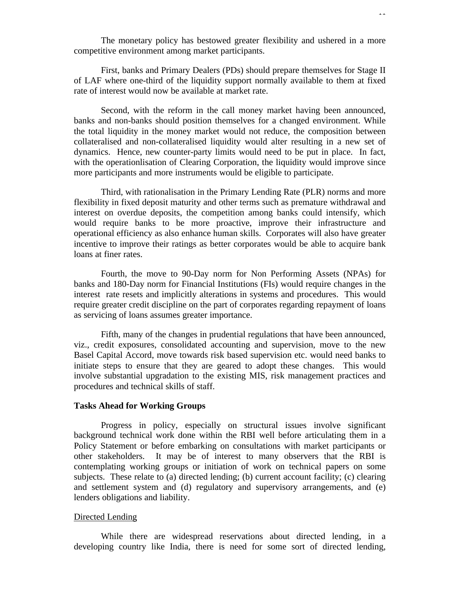The monetary policy has bestowed greater flexibility and ushered in a more competitive environment among market participants.

11

First, banks and Primary Dealers (PDs) should prepare themselves for Stage II of LAF where one-third of the liquidity support normally available to them at fixed rate of interest would now be available at market rate.

Second, with the reform in the call money market having been announced, banks and non-banks should position themselves for a changed environment. While the total liquidity in the money market would not reduce, the composition between collateralised and non-collateralised liquidity would alter resulting in a new set of dynamics. Hence, new counter-party limits would need to be put in place. In fact, with the operationlisation of Clearing Corporation, the liquidity would improve since more participants and more instruments would be eligible to participate.

Third, with rationalisation in the Primary Lending Rate (PLR) norms and more flexibility in fixed deposit maturity and other terms such as premature withdrawal and interest on overdue deposits, the competition among banks could intensify, which would require banks to be more proactive, improve their infrastructure and operational efficiency as also enhance human skills. Corporates will also have greater incentive to improve their ratings as better corporates would be able to acquire bank loans at finer rates.

Fourth, the move to 90-Day norm for Non Performing Assets (NPAs) for banks and 180-Day norm for Financial Institutions (FIs) would require changes in the interest rate resets and implicitly alterations in systems and procedures. This would require greater credit discipline on the part of corporates regarding repayment of loans as servicing of loans assumes greater importance.

Fifth, many of the changes in prudential regulations that have been announced, viz., credit exposures, consolidated accounting and supervision, move to the new Basel Capital Accord, move towards risk based supervision etc. would need banks to initiate steps to ensure that they are geared to adopt these changes. This would involve substantial upgradation to the existing MIS, risk management practices and procedures and technical skills of staff.

### **Tasks Ahead for Working Groups**

Progress in policy, especially on structural issues involve significant background technical work done within the RBI well before articulating them in a Policy Statement or before embarking on consultations with market participants or other stakeholders. It may be of interest to many observers that the RBI is contemplating working groups or initiation of work on technical papers on some subjects. These relate to (a) directed lending; (b) current account facility; (c) clearing and settlement system and (d) regulatory and supervisory arrangements, and (e) lenders obligations and liability.

### Directed Lending

While there are widespread reservations about directed lending, in a developing country like India, there is need for some sort of directed lending,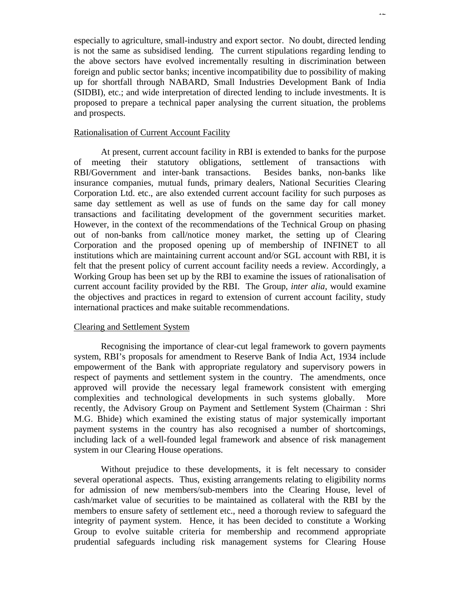especially to agriculture, small-industry and export sector. No doubt, directed lending is not the same as subsidised lending. The current stipulations regarding lending to the above sectors have evolved incrementally resulting in discrimination between foreign and public sector banks; incentive incompatibility due to possibility of making up for shortfall through NABARD, Small Industries Development Bank of India (SIDBI), etc.; and wide interpretation of directed lending to include investments. It is proposed to prepare a technical paper analysing the current situation, the problems and prospects.

## Rationalisation of Current Account Facility

At present, current account facility in RBI is extended to banks for the purpose of meeting their statutory obligations, settlement of transactions with RBI/Government and inter-bank transactions. Besides banks, non-banks like insurance companies, mutual funds, primary dealers, National Securities Clearing Corporation Ltd. etc., are also extended current account facility for such purposes as same day settlement as well as use of funds on the same day for call money transactions and facilitating development of the government securities market. However, in the context of the recommendations of the Technical Group on phasing out of non-banks from call/notice money market, the setting up of Clearing Corporation and the proposed opening up of membership of INFINET to all institutions which are maintaining current account and/or SGL account with RBI, it is felt that the present policy of current account facility needs a review. Accordingly, a Working Group has been set up by the RBI to examine the issues of rationalisation of current account facility provided by the RBI. The Group, *inter alia*, would examine the objectives and practices in regard to extension of current account facility, study international practices and make suitable recommendations.

## Clearing and Settlement System

Recognising the importance of clear-cut legal framework to govern payments system, RBI's proposals for amendment to Reserve Bank of India Act, 1934 include empowerment of the Bank with appropriate regulatory and supervisory powers in respect of payments and settlement system in the country. The amendments, once approved will provide the necessary legal framework consistent with emerging complexities and technological developments in such systems globally. More recently, the Advisory Group on Payment and Settlement System (Chairman : Shri M.G. Bhide) which examined the existing status of major systemically important payment systems in the country has also recognised a number of shortcomings, including lack of a well-founded legal framework and absence of risk management system in our Clearing House operations.

Without prejudice to these developments, it is felt necessary to consider several operational aspects. Thus, existing arrangements relating to eligibility norms for admission of new members/sub-members into the Clearing House, level of cash/market value of securities to be maintained as collateral with the RBI by the members to ensure safety of settlement etc., need a thorough review to safeguard the integrity of payment system. Hence, it has been decided to constitute a Working Group to evolve suitable criteria for membership and recommend appropriate prudential safeguards including risk management systems for Clearing House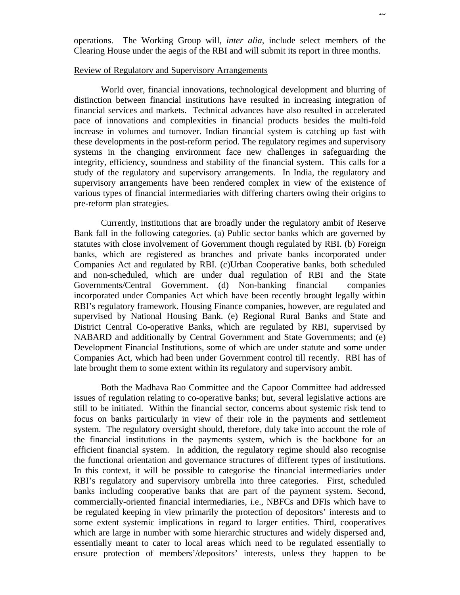operations. The Working Group will, *inter alia*, include select members of the Clearing House under the aegis of the RBI and will submit its report in three months.

# Review of Regulatory and Supervisory Arrangements

World over, financial innovations, technological development and blurring of distinction between financial institutions have resulted in increasing integration of financial services and markets. Technical advances have also resulted in accelerated pace of innovations and complexities in financial products besides the multi-fold increase in volumes and turnover. Indian financial system is catching up fast with these developments in the post-reform period. The regulatory regimes and supervisory systems in the changing environment face new challenges in safeguarding the integrity, efficiency, soundness and stability of the financial system. This calls for a study of the regulatory and supervisory arrangements. In India, the regulatory and supervisory arrangements have been rendered complex in view of the existence of various types of financial intermediaries with differing charters owing their origins to pre-reform plan strategies.

Currently, institutions that are broadly under the regulatory ambit of Reserve Bank fall in the following categories. (a) Public sector banks which are governed by statutes with close involvement of Government though regulated by RBI. (b) Foreign banks, which are registered as branches and private banks incorporated under Companies Act and regulated by RBI. (c)Urban Cooperative banks, both scheduled and non-scheduled, which are under dual regulation of RBI and the State Governments/Central Government. (d) Non-banking financial companies incorporated under Companies Act which have been recently brought legally within RBI's regulatory framework. Housing Finance companies, however, are regulated and supervised by National Housing Bank. (e) Regional Rural Banks and State and District Central Co-operative Banks, which are regulated by RBI, supervised by NABARD and additionally by Central Government and State Governments; and (e) Development Financial Institutions, some of which are under statute and some under Companies Act, which had been under Government control till recently. RBI has of late brought them to some extent within its regulatory and supervisory ambit.

Both the Madhava Rao Committee and the Capoor Committee had addressed issues of regulation relating to co-operative banks; but, several legislative actions are still to be initiated. Within the financial sector, concerns about systemic risk tend to focus on banks particularly in view of their role in the payments and settlement system. The regulatory oversight should, therefore, duly take into account the role of the financial institutions in the payments system, which is the backbone for an efficient financial system. In addition, the regulatory regime should also recognise the functional orientation and governance structures of different types of institutions. In this context, it will be possible to categorise the financial intermediaries under RBI's regulatory and supervisory umbrella into three categories. First, scheduled banks including cooperative banks that are part of the payment system. Second, commercially-oriented financial intermediaries, i.e., NBFCs and DFIs which have to be regulated keeping in view primarily the protection of depositors' interests and to some extent systemic implications in regard to larger entities. Third, cooperatives which are large in number with some hierarchic structures and widely dispersed and, essentially meant to cater to local areas which need to be regulated essentially to ensure protection of members'/depositors' interests, unless they happen to be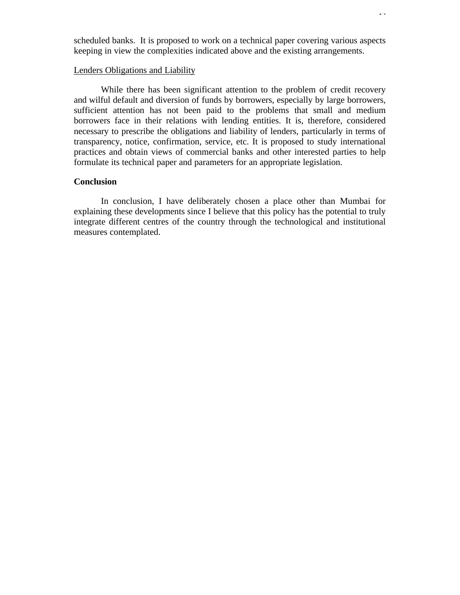scheduled banks. It is proposed to work on a technical paper covering various aspects keeping in view the complexities indicated above and the existing arrangements.

# Lenders Obligations and Liability

While there has been significant attention to the problem of credit recovery and wilful default and diversion of funds by borrowers, especially by large borrowers, sufficient attention has not been paid to the problems that small and medium borrowers face in their relations with lending entities. It is, therefore, considered necessary to prescribe the obligations and liability of lenders, particularly in terms of transparency, notice, confirmation, service, etc. It is proposed to study international practices and obtain views of commercial banks and other interested parties to help formulate its technical paper and parameters for an appropriate legislation.

# **Conclusion**

In conclusion, I have deliberately chosen a place other than Mumbai for explaining these developments since I believe that this policy has the potential to truly integrate different centres of the country through the technological and institutional measures contemplated.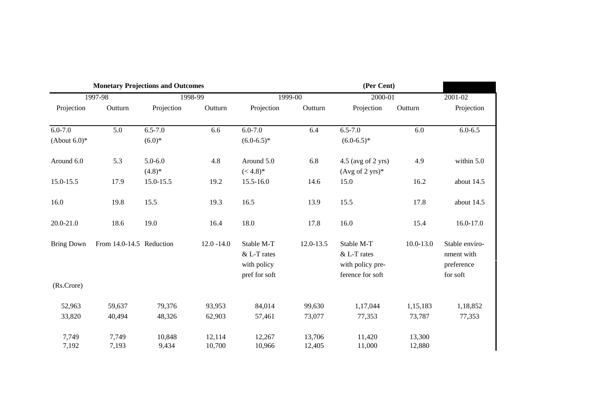| <b>Monetary Projections and Outcomes</b> |                          |             |               |                                                           |           | (Per Cent)                                                        |               |                                                        |
|------------------------------------------|--------------------------|-------------|---------------|-----------------------------------------------------------|-----------|-------------------------------------------------------------------|---------------|--------------------------------------------------------|
| 1997-98                                  |                          | 1998-99     |               | 1999-00                                                   |           | 2000-01                                                           |               | 2001-02                                                |
| Projection                               | Outturn                  | Projection  | Outturn       | Projection                                                | Outturn   | Projection                                                        | Outturn       | Projection                                             |
| $6.0 - 7.0$                              | 5.0                      | $6.5 - 7.0$ | 6.6           | $6.0 - 7.0$                                               | 6.4       | $6.5 - 7.0$                                                       | 6.0           | $6.0 - 6.5$                                            |
| (About $6.0$ )*                          |                          | $(6.0)*$    |               | $(6.0-6.5)^*$                                             |           | $(6.0-6.5)^*$                                                     |               |                                                        |
| Around 6.0                               | 5.3                      | $5.0 - 6.0$ | 4.8           | Around 5.0                                                | 6.8       | $4.5$ (avg of 2 yrs)                                              | 4.9           | within 5.0                                             |
|                                          |                          | $(4.8)$ *   |               | $(< 4.8)*$                                                |           | (Avg of 2 yrs) $*$                                                |               |                                                        |
| 15.0-15.5                                | 17.9                     | 15.0-15.5   | 19.2          | 15.5-16.0                                                 | 14.6      | 15.0                                                              | 16.2          | about 14.5                                             |
| 16.0                                     | 19.8                     | 15.5        | 19.3          | 16.5                                                      | 13.9      | 15.5                                                              | 17.8          | about 14.5                                             |
| 20.0-21.0                                | 18.6                     | 19.0        | 16.4          | 18.0                                                      | 17.8      | 16.0                                                              | 15.4          | 16.0-17.0                                              |
| <b>Bring Down</b>                        | From 14.0-14.5 Reduction |             | $12.0 - 14.0$ | Stable M-T<br>& L-T rates<br>with policy<br>pref for soft | 12.0-13.5 | Stable M-T<br>& L-T rates<br>with policy pre-<br>ference for soft | $10.0 - 13.0$ | Stable enviro-<br>nment with<br>preference<br>for soft |
| (Rs.Crore)                               |                          |             |               |                                                           |           |                                                                   |               |                                                        |
| 52,963                                   | 59,637                   | 79,376      | 93,953        | 84,014                                                    | 99,630    | 1,17,044                                                          | 1,15,183      | 1,18,852                                               |
| 33,820                                   | 40,494                   | 48,326      | 62,903        | 57,461                                                    | 73,077    | 77,353                                                            | 73,787        | 77,353                                                 |
| 7,749                                    | 7,749                    | 10,848      | 12,114        | 12,267                                                    | 13,706    | 11,420                                                            | 13,300        |                                                        |
| 7,192                                    | 7,193                    | 9,434       | 10,700        | 10,966                                                    | 12,405    | 11,000                                                            | 12,880        |                                                        |